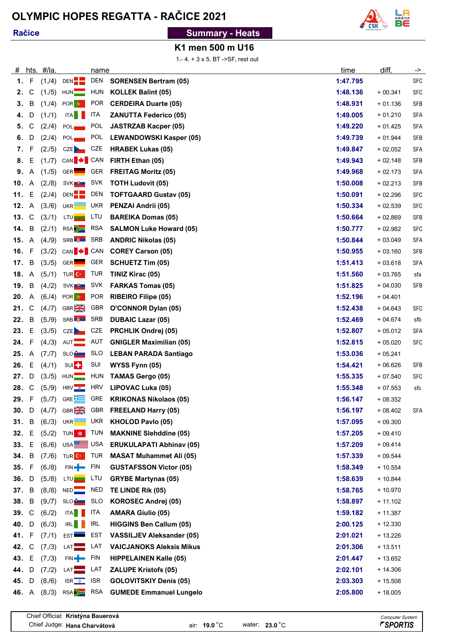# **OLYMPIC HOPES REGATTA - RAČICE 2021**

#### **Račice**

## **Summary - Heats**



### **K1 men 500 m U16**

1.- 4. + 3 x 5. BT ->SF, rest out

| #            |              | hts. #/la. |                                           | name       |                                  | time     | diff.     | ->         |
|--------------|--------------|------------|-------------------------------------------|------------|----------------------------------|----------|-----------|------------|
| 1.           | F            | (1.4)      | DEN <sup>-</sup>                          | DEN        | <b>SORENSEN Bertram (05)</b>     | 1:47.795 |           | <b>SFC</b> |
| 2.           | С            | (1.75)     | HUN                                       | HUN        | <b>KOLLEK Balint (05)</b>        | 1:48.136 | $+00.341$ | <b>SFC</b> |
| 3.           | B            | (1.4)      | POR <sup>e</sup>                          | <b>POR</b> | <b>CERDEIRA Duarte (05)</b>      | 1:48.931 | $+01.136$ | <b>SFB</b> |
| 4.           | D            | (1.71)     | ITA                                       | ITA        | <b>ZANUTTA Federico (05)</b>     | 1:49.005 | $+01.210$ | <b>SFA</b> |
| 5.           | $\mathsf C$  | (2.4)      | POL                                       | <b>POL</b> | <b>JASTRZAB Kacper (05)</b>      | 1:49.220 | $+01.425$ | <b>SFA</b> |
| 6.           | D            | (2.4)      | POL                                       | <b>POL</b> | <b>LEWANDOWSKI Kasper (05)</b>   | 1:49.739 | $+01.944$ | <b>SFB</b> |
| 7.           | F            | (2.75)     | CZE <sub>D</sub>                          | CZE        | <b>HRABEK Lukas (05)</b>         | 1:49.847 | $+02.052$ | <b>SFA</b> |
| 8.           | Ε            | (1.7)      | CAN $\bigtriangledown$ CAN                |            | FIRTH Ethan (05)                 | 1:49.943 | $+02.148$ | <b>SFB</b> |
| 9.           | Α            | (1.75)     | GER <sup></sup>                           | <b>GER</b> | <b>FREITAG Moritz (05)</b>       | 1:49.968 | $+02.173$ | <b>SFA</b> |
| 10.          | Α            | (2.78)     | SVK <sub>U</sub> U                        | SVK        | <b>TOTH Ludovit (05)</b>         | 1:50.008 | $+02.213$ | <b>SFB</b> |
| 11.          | Е            | (2.4)      | DEN <sup>-</sup>                          | <b>DEN</b> | <b>TOFTGAARD Gustav (05)</b>     | 1:50.091 | $+02.296$ | <b>SFC</b> |
| 12.          | $\mathsf{A}$ | (3. / 6)   | UKR <b>NANA</b>                           | <b>UKR</b> | <b>PENZAI Andrii (05)</b>        | 1:50.334 | $+02.539$ | <b>SFC</b> |
| 13.          | $\mathsf{C}$ | (3.71)     | LTU <b>L</b>                              | LTU        | <b>BAREIKA Domas (05)</b>        | 1:50.664 | $+02.869$ | <b>SFB</b> |
| 14.          | В            | (2.71)     | RSA                                       | <b>RSA</b> | <b>SALMON Luke Howard (05)</b>   | 1:50.777 | $+02.982$ | <b>SFC</b> |
| <b>15.</b> A |              | (4.9)      | SRB <b>\$</b> SRB                         |            | <b>ANDRIC Nikolas (05)</b>       | 1:50.844 | $+03.049$ | <b>SFA</b> |
| 16.          | F            | (3.72)     | CAN $\bigtriangledown$ CAN                |            | <b>COREY Carson (05)</b>         | 1:50.955 | $+03.160$ | <b>SFB</b> |
| 17.          | B            | (3.75)     | GER <sup></sup>                           | GER        | <b>SCHUETZ Tim (05)</b>          | 1:51.413 | $+03.618$ | <b>SFA</b> |
| 18.          | Α            | (5.71)     | TUR C*                                    | <b>TUR</b> | TINIZ Kirac (05)                 | 1:51.560 | $+03.765$ | sfa        |
| 19.          | В            | (4.72)     | SVK <sup>U</sup>                          | SVK        | <b>FARKAS Tomas (05)</b>         | 1:51.825 | $+04.030$ | <b>SFB</b> |
| 20.          | A            | (6.4)      | POR <sup>O</sup>                          | <b>POR</b> | <b>RIBEIRO Filipe (05)</b>       | 1:52.196 | $+04.401$ |            |
| 21.          | С            | (4.7)      | GBR <sub>2</sub>                          | GBR        | <b>O'CONNOR Dylan (05)</b>       | 1:52.438 | $+04.643$ | <b>SFC</b> |
| 22.          | В            | (5.9)      | SRB <b>&amp;</b>                          | SRB        | <b>DUBAIC Lazar (05)</b>         | 1:52.469 | $+04.674$ | sfb        |
| 23.          | Ε            | (3.75)     | CZE <sub>D</sub>                          | CZE        | <b>PRCHLIK Ondrej (05)</b>       | 1:52.807 | $+05.012$ | <b>SFA</b> |
| 24.          | F            | (4.73)     | AUT <b>THE</b>                            | AUT        | <b>GNIGLER Maximilian (05)</b>   | 1:52.815 | $+05.020$ | <b>SFC</b> |
| 25.          | Α            | (7.7)      | SLO <sup>P</sup>                          | <b>SLO</b> | <b>LEBAN PARADA Santiago</b>     | 1:53.036 | $+05.241$ |            |
| 26.          | Ε            | (4.71)     | SUI <sup>-</sup>                          | SUI        | WYSS Fynn (05)                   | 1:54.421 | $+06.626$ | <b>SFB</b> |
| 27.          | D            | (3.75)     | HUN <sub>1</sub>                          | HUN        | <b>TAMAS Gergo (05)</b>          | 1:55.335 | $+07.540$ | <b>SFC</b> |
| 28.          | C            | (5.9)      | HRV                                       | <b>HRV</b> | <b>LIPOVAC Luka (05)</b>         | 1:55.348 | $+07.553$ | sfc        |
| 29. F        |              | (5.7)      | GRE <b>EXECUTE</b>                        | GRE        | <b>KRIKONAS Nikolaos (05)</b>    | 1:56.147 | $+08.352$ |            |
| 30. D        |              | (4.7)      | <b>GBR</b>                                | GBR        | <b>FREELAND Harry (05)</b>       | 1:56.197 | $+08.402$ | SFA        |
| 31. B        |              | (6.73)     | UKR <b>NANA</b>                           | <b>UKR</b> | <b>KHOLOD Pavlo (05)</b>         | 1:57.095 | $+09.300$ |            |
| 32.          | Е            | (5.72)     | TUN <b>O</b> TUN                          |            | <b>MAKNINE Slehddine (05)</b>    | 1:57.205 | $+09.410$ |            |
| 33. E        |              | (6. / 6)   | USA <b>LE</b> USA                         |            | <b>ERUKULAPATI Abhinav (05)</b>  | 1:57.209 | $+09.414$ |            |
| 34. B        |              | (7.6)      | TUR C                                     | TUR        | <b>MASAT Muhammet Ali (05)</b>   | 1:57.339 | $+09.544$ |            |
| 35. F        |              | (6. / 8)   | $FIN \rightarrow FIN$                     |            | <b>GUSTAFSSON Victor (05)</b>    | 1:58.349 | $+10.554$ |            |
| 36.          | D            | (5. / 8)   | LTU <sub>p</sub>                          | LTU        | <b>GRYBE Martynas (05)</b>       | 1:58.639 | $+10.844$ |            |
| 37. B        |              | (8. / 8)   | NED                                       | <b>NED</b> | TE LINDE Rik (05)                | 1:58.765 | $+10.970$ |            |
| 38. B        |              | (9.7)      | SLO <sup>P</sup>                          | SLO        | <b>KOROSEC Andrej (05)</b>       | 1:58.897 | $+11.102$ |            |
| 39. C        |              | (6.72)     | ITA                                       | <b>ITA</b> | <b>AMARA Giulio (05)</b>         | 1:59.182 | $+11.387$ |            |
| 40. D        |              | (6.73)     | IRL                                       | IRL        | <b>HIGGINS Ben Callum (05)</b>   | 2:00.125 | $+12.330$ |            |
| 41. F        |              | (7.11)     | <b>EST</b>                                | EST        | <b>VASSILJEV Aleksander (05)</b> | 2:01.021 | $+13.226$ |            |
| 42. C        |              | (7.73)     | LAT                                       | LAT        | <b>VAICJANOKS Aleksis Mikus</b>  | 2:01.306 | $+13.511$ |            |
| 43. E        |              | (7.73)     | FIN-                                      | <b>FIN</b> | <b>HIPPELAINEN Kalle (05)</b>    | 2:01.447 | $+13.652$ |            |
| 44.          | D            | (7.72)     | LAT                                       | LAT        | <b>ZALUPE Kristofs (05)</b>      | 2:02.101 | $+14.306$ |            |
| 45.          | D            | (8. / 6)   | $ISR \frac{\triangleleft}{\triangleleft}$ | <b>ISR</b> | <b>GOLOVITSKIY Denis (05)</b>    | 2:03.303 | $+15.508$ |            |
| 46. A        |              | (8.73)     | RSA <sup>&gt;</sup>                       | RSA        | <b>GUMEDE Emmanuel Lungelo</b>   | 2:05.800 | $+18.005$ |            |